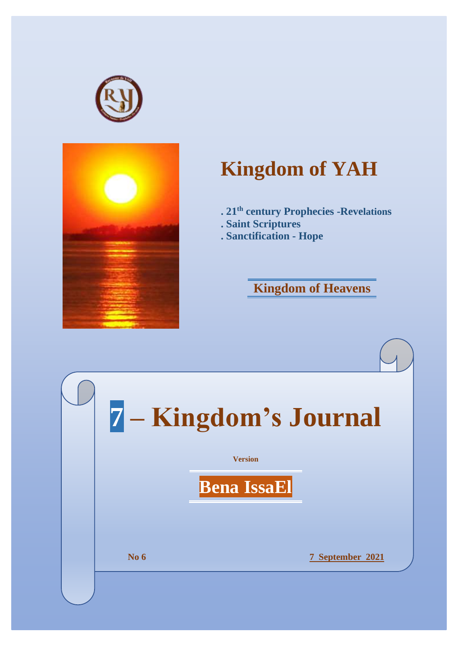



# **Kingdom of YAH**

- **. 21th century Prophecies -Revelations**
- **. Saint Scriptures**
- **. Sanctification - Hope**

# **Kingdom of Heavens**

|             | 7 - Kingdom's Journal |                      |
|-------------|-----------------------|----------------------|
|             | <b>Version</b>        |                      |
|             | <b>Bena IssaEl</b>    |                      |
|             |                       |                      |
|             |                       |                      |
| <b>No 6</b> |                       | September 2021<br>7. |
|             |                       |                      |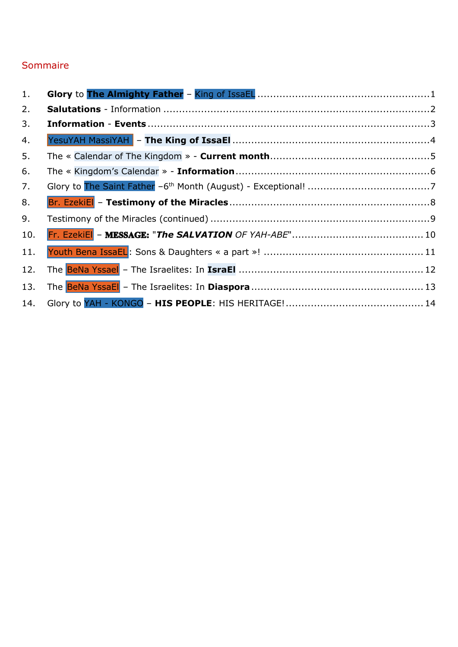#### Sommaire

| 1.  |  |
|-----|--|
| 2.  |  |
| 3.  |  |
| 4.  |  |
| 5.  |  |
| 6.  |  |
| 7.  |  |
| 8.  |  |
| 9.  |  |
| 10. |  |
| 11. |  |
| 12. |  |
| 13. |  |
| 14. |  |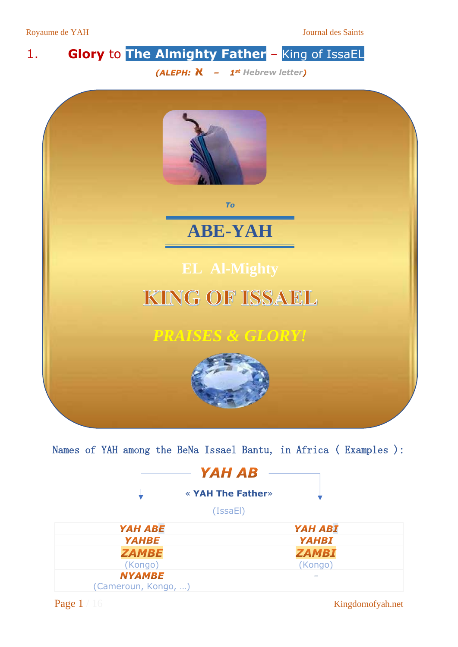Royaume de YAH Journal des Saints

# <span id="page-2-0"></span>1. **Glory** to **The Almighty Father** – King of IssaEL

*(ALEPH: N - 1st Hebrew letter)* 



Names of YAH among the BeNa Issael Bantu, in Africa ( Examples ):

| YAH AB                   |                |
|--------------------------|----------------|
| <b>« YAH The Father»</b> |                |
| (IssaEI)                 |                |
| YAH ABE                  | <b>YAH ABI</b> |
| <b>YAHBE</b>             | <b>YAHBI</b>   |
| <b>ZAMBE</b>             | <b>ZAMBI</b>   |
| (Kongo)                  | (Kongo)        |
| <b>NYAMBE</b>            | $-$            |
| (Cameroun, Kongo, )      |                |

Page 1 / 16 Kingdomofyah.net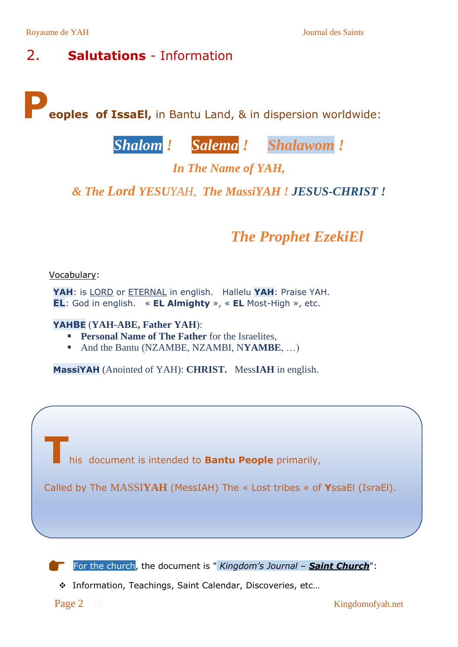### <span id="page-3-0"></span>2. **Salutations** - Information

**Peoples of IssaEl,** in Bantu Land, & in dispersion worldwide:

# *Shalom ! Salema ! Shalawom !*

### *In The Name of YAH,*

#### *& The Lord YESUYAH, The MassiYAH ! JESUS-CHRIST !*

## *The Prophet EzekiEl*

#### Vocabulary:

**YAH**: is LORD or ETERNAL in english. Hallelu **YAH**: Praise YAH. **EL**: God in english. « **EL Almighty** », « **EL** Most-High », etc.

#### **YAHBE** (**YAH-ABE, Father YAH**):

- **Personal Name of The Father** for the Israelites.
- And the Bantu (NZAMBE, NZAMBI, N**YAMBE**, ...)

**MassiYAH** (Anointed of YAH): **CHRIST.** Mess**IAH** in english.

**T**his document is intended to **Bantu People** primarily,

Called by The MASSI**YAH** (MessIAH) The « Lost tribes » of **Y**ssaEl (IsraEl).

For the church, the document is " *Kingdom's Journal – Saint Church*":

❖ Information, Teachings, Saint Calendar, Discoveries, etc…

Page 2 / 16 Kingdomofyah.net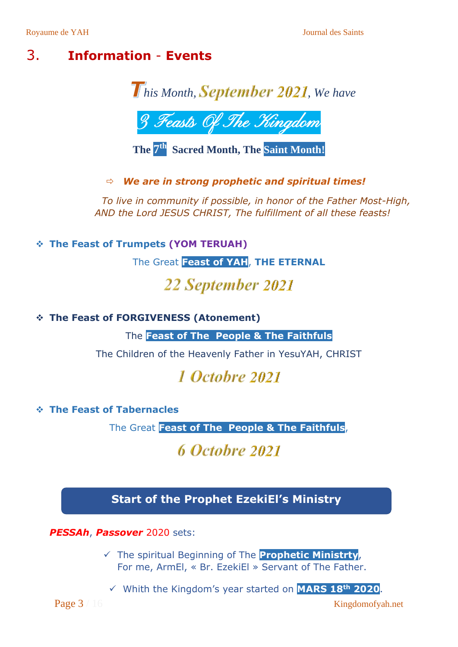### <span id="page-4-0"></span>3. **Information** - **Events**





**The 7 th Sacred Month, The Saint Month!**

*We are in strong prophetic and spiritual times!*

*To live in community if possible, in honor of the Father Most-High, AND the Lord JESUS CHRIST, The fulfillment of all these feasts!*

❖ **The Feast of Trumpets (YOM TERUAH)**

The Great **Feast of YAH**, **THE ETERNAL**

# 22 September 2021

❖ **The Feast of FORGIVENESS (Atonement)**

The **Feast of The People & The Faithfuls**

The Children of the Heavenly Father in YesuYAH, CHRIST

# 1 Octobre 2021

#### ❖ **The Feast of Tabernacles**

The Great **Feast of The People & The Faithfuls**,

# 6 Octobre 2021

### **Start of the Prophet EzekiEl's Ministry**

*PESSAh*, *Passover* 2020 sets:

✓ The spiritual Beginning of The **Prophetic Ministrty**, For me, ArmEl, « Br. EzekiEl » Servant of The Father.

✓ Whith the Kingdom's year started on **MARS 18th 2020**.

Page 3 / 16 Kingdomofyah.net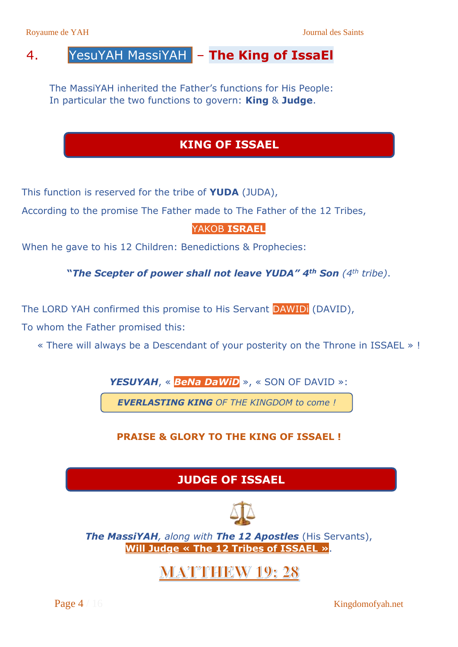### <span id="page-5-0"></span>4. YesuYAH MassiYAH – **The King of IssaEl**

The MassiYAH inherited the Father's functions for His People: In particular the two functions to govern: **King** & **Judge**.

### **KING OF ISSAEL**

This function is reserved for the tribe of **YUDA** (JUDA),

According to the promise The Father made to The Father of the 12 Tribes,

#### YAKOB **ISRAEL**

When he gave to his 12 Children: Benedictions & Prophecies:

**"***The Scepter of power shall not leave YUDA" 4th Son (4th tribe)*.

The LORD YAH confirmed this promise to His Servant DAWIDi (DAVID),

To whom the Father promised this:

« There will always be a Descendant of your posterity on the Throne in ISSAEL » !

*YESUYAH*, « *BeNa DaWiD* », « SON OF DAVID »:

*EVERLASTING KING OF THE KINGDOM to come !*

#### **PRAISE & GLORY TO THE KING OF ISSAEL !**

### **JUDGE OF ISSAEL**



*The MassiYAH, along with The 12 Apostles* (His Servants), **Will Judge « The 12 Tribes of ISSAEL »**.

## **MATTHEW 19:28**

Page 4 / 16 Kingdomofyah.net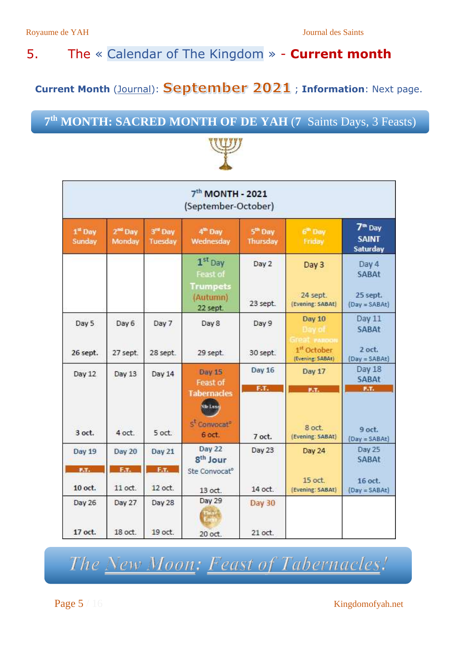### <span id="page-6-0"></span>5. The « Calendar of The Kingdom » - **Current month**

**Current Month** (Journal): September 2021; Information: Next page.

### **7 th MONTH: SACRED MONTH OF DE YAH** (**7** Saints Days, 3 Feasts)



| 7 <sup>th</sup> MONTH - 2021<br>(September-October) |                               |                    |                                                                                    |                                        |                                                |                                                 |  |
|-----------------------------------------------------|-------------------------------|--------------------|------------------------------------------------------------------------------------|----------------------------------------|------------------------------------------------|-------------------------------------------------|--|
| $1st$ Day<br>Sunday                                 | 2 <sup>ad</sup> Day<br>Monday | 3rd Day<br>Tuesday | 4 <sup>th</sup> Day<br>Wednesday                                                   | 5 <sup>th</sup> Day<br><b>Thursday</b> | $6m$ Dev<br>Friday                             | 7 <sup>th</sup> Day<br><b>SAINT</b><br>Saturday |  |
|                                                     |                               |                    | $1st$ Day<br>Feast of                                                              | Day 2                                  | Day 3                                          | Day 4<br>SABAt                                  |  |
|                                                     |                               |                    | <b>Trumpets</b><br>(Autumn)<br>22 sept.                                            | 23 sept.                               | 24 sept.<br>(Evening: SABAt)                   | 25 sept.<br>$(Day = SABA$ t)                    |  |
| Day 5                                               | Day 6                         | Day 7              | Day 8                                                                              | Day 9                                  | <b>Day 10</b><br>Day of<br><b>Great PARDON</b> | Day 11<br><b>SABAt</b>                          |  |
| 26 sept.                                            | 27 sept.                      | 28 sept.           | 29 sept.                                                                           | 30 sept.                               | 1 <sup>st</sup> October<br>(Evening: SABAt)    | 2 oct.<br>$(Day = SABA)$                        |  |
| Day 12                                              | Day 13                        | Day 14             | <b>Day 15</b><br><b>Feast of</b>                                                   | Day 16<br>F.T.                         | Day 17<br>P.T.                                 | Day 18<br><b>SABAt</b><br>F.T.                  |  |
| 3 oct.                                              | 4 oct.                        | 5 oct.             | <b>Tabernacles</b><br>Nile Lunes<br>S <sup>t</sup> Convocat <sup>®</sup><br>6 oct. | 7 oct.                                 | 8 oct.<br>(Evening: SABAt)                     | 9 oct.<br>$(Day = SABA)$                        |  |
| <b>Day 19</b>                                       | <b>Day 20</b>                 | <b>Day 21</b>      | <b>Day 22</b><br>8 <sup>th</sup> Jour                                              | Day 23                                 | Day 24                                         | Day 25<br>SABAt                                 |  |
| F.T.                                                | E.t.                          | F.T.               | Ste Convocat <sup>o</sup>                                                          |                                        | 15 oct.                                        | 16 oct.                                         |  |
| 10 oct.                                             | 11 oct.                       | 12 oct.            | 13 oct.                                                                            | 14 oct.                                | (Evening: SABAt)                               | $(Day = SABA)$                                  |  |
| Day 26                                              | Day 27                        | Day 28             | Day 29                                                                             | <b>Day 30</b>                          |                                                |                                                 |  |
| 17 oct.                                             | 18 oct.                       | 19 oct.            | 20 oct.                                                                            | 21 oct.                                |                                                |                                                 |  |

The New Moon: Feast of Tabernacles!

Page 5 / 16 Kingdomofyah.net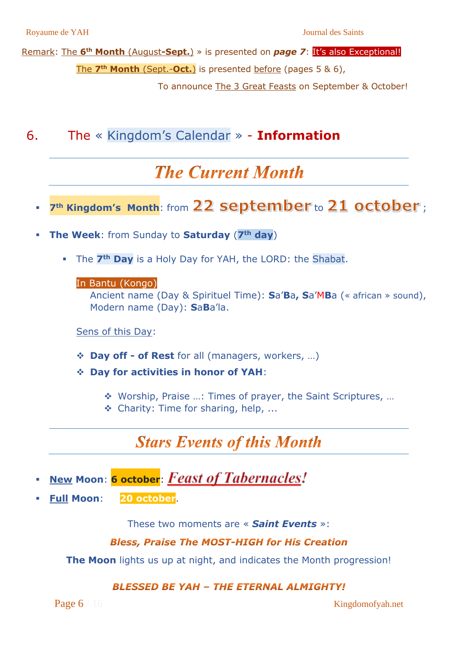Remark: The **6 th Month** (August**-Sept.**) » is presented on *page 7*: It's also Exceptional! The **7 th Month** (Sept.-**Oct.**) is presented before (pages 5 & 6),

To announce The 3 Great Feasts on September & October!

<span id="page-7-0"></span>6. The « Kingdom's Calendar » - **Information**

# **The Current Month**

- 7<sup>th</sup> Kingdom's Month: from 22 september to 21 october;
- **The Week:** from Sunday to **Saturday** (7<sup>th</sup> day)
	- The **7th Day** is a Holy Day for YAH, the LORD: the Shabat.

#### In Bantu (Kongo):

Ancient name (Day & Spirituel Time): **S**a'**B**a**, S**a'M**B**a (« african » sound), Modern name (Day): **S**a**B**a'la.

Sens of this Day:

- ❖ **Day off - of Rest** for all (managers, workers, …)
- ❖ **Day for activities in honor of YAH**:
	- ❖ Worship, Praise …: Times of prayer, the Saint Scriptures, …
	- ❖ Charity: Time for sharing, help, ...

### **Stars Events of this Month**

- **New Moon: 6 october: Feast of Tabernacles!**
- **Full Moon**: **20 october**.

These two moments are « *Saint Events* »:

#### **Bless, Praise The MOST-HIGH for His Creation**

**The Moon** lights us up at night, and indicates the Month progression!

#### **BLESSED BE YAH - THE ETERNAL ALMIGHTY!**

Page 6 / 16 Kingdomofyah.net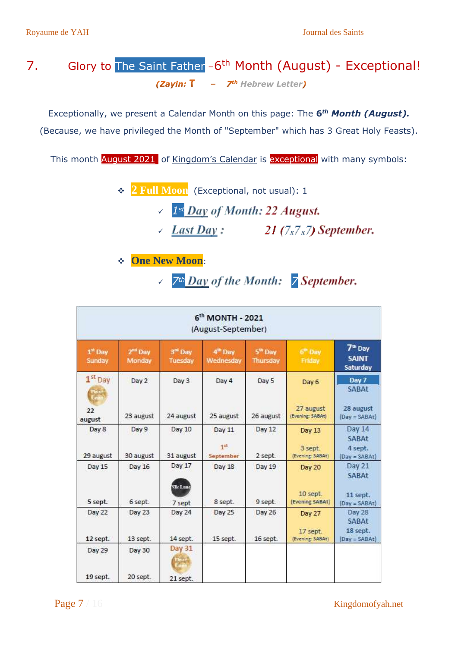### <span id="page-8-0"></span>7. Glory to The Saint Father - 6<sup>th</sup> Month (August) - Exceptional! *(Zavin:* T -  $Z^{th}$  Hebrew Letter)

Exceptionally, we present a Calendar Month on this page: The **6** *th Month (August).* (Because, we have privileged the Month of "September" which has 3 Great Holy Feasts).

This month **August 2021** of Kingdom's Calendar is **exceptional** with many symbols:

- ❖ **2 Full Moon** (Exceptional, not usual): <sup>1</sup>
	- ✓ *1st*  $\angle$  Last Day: 21 (7x7x7) September.
- ❖ **One New Moon**:
	- ✓ *7th 7*

| 6th MONTH - 2021<br>(August-September)                         |           |                             |                                  |                                        |                               |                                                 |  |
|----------------------------------------------------------------|-----------|-----------------------------|----------------------------------|----------------------------------------|-------------------------------|-------------------------------------------------|--|
| 1 <sup>st</sup> Day<br>2 <sup>nd</sup> Day<br>Sunday<br>Monday |           | $3rd$ Day<br><b>Tuesday</b> | 4 <sup>th</sup> Day<br>Wednesday | 5 <sup>th</sup> Day<br><b>Thursday</b> | 6 <sup>th</sup> Day<br>Friday | 7 <sup>th</sup> Day<br><b>SAINT</b><br>Saturday |  |
| 1 <sup>st</sup> Day<br>Tie se                                  | Day 2     | Day 3                       | Day 4                            | Day 5                                  | Day 6                         | Day 7<br><b>SABAt</b>                           |  |
| 22<br>august                                                   | 23 august | 24 august                   | 25 august                        | 26 august                              | 27 august<br>(Evening: SABAt) | 28 august<br>$(Day = SABA)$                     |  |
| Day 8                                                          | Day 9     | Day 10                      | Day 11                           | <b>Day 12</b>                          | Day 13                        | <b>Day 14</b>                                   |  |
| 29 august                                                      | 30 august | 31 august                   | 1 <sup>12</sup><br>September     | 2 sept.                                | 3 sept.<br>(Evening: SABAt)   | <b>SABAt</b><br>4 sept.<br>$(Day = SABA)$       |  |
| Day 15                                                         | Day 16    | Day 17<br><b>N</b> Ie Lune  | Day 18                           | <b>Day 19</b>                          | Day 20                        | Day 21<br><b>SABAt</b>                          |  |
| 5 sept.                                                        | 6 sept.   | 7 sept                      | 8 sept.                          | 9 sept.                                | 10 sept.<br>(Evening SABAt)   | 11 sept.<br>$(Day = SABA)$                      |  |
| Day 22                                                         | Day 23    | Day 24                      | Day 25                           | <b>Day 26</b>                          | Day 27                        | Day 28<br><b>SABAt</b>                          |  |
| 12 sept.                                                       | 13 sept.  | 14 sept.                    | 15 sept.                         | 16 sept.                               | 17 sept.<br>(Evening: SABAt)  | 18 sept.<br>$(Day = SABA)$                      |  |
| Day 29                                                         | Day 30    | Day 31                      |                                  |                                        |                               |                                                 |  |
| 19 sept.                                                       | 20 sept.  | 21 sept.                    |                                  |                                        |                               |                                                 |  |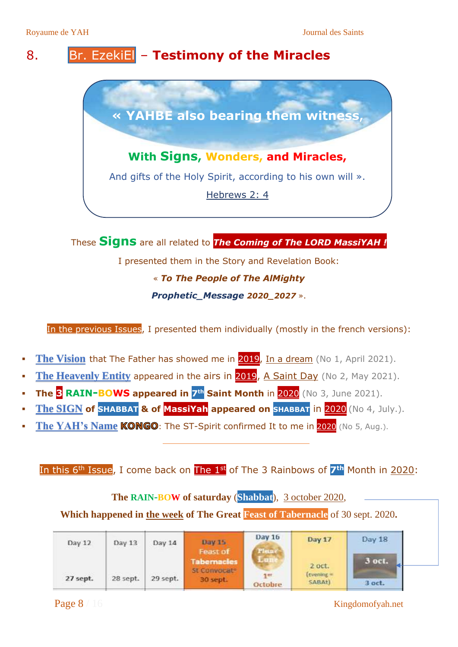### <span id="page-9-0"></span>8. Br. EzekiEl – **Testimony of the Miracles**



These **Signs** are all related to *The Coming of The LORD MassiYAH !* I presented them in the Story and Revelation Book: « *To The People of The AlMighty Prophetic\_Message 2020\_2027* ».

In the previous Issues, I presented them individually (mostly in the french versions):

- **The Vision** that The Father has showed me in 2019, In a dream (No 1, April 2021).
- **The Heavenly Entity appeared in the airs in 2019, A Saint Day** (No 2, May 2021).
- **The 3 RAIN-BOWS appeared in 7 th Saint Month** in 2020 (No 3, June 2021).
- **The SIGN of SHABBAT & of MassiYah appeared on SHABBAT** in 2020 (No 4, July.).
- The YAH's Name **KONGO**: The ST-Spirit confirmed It to me in **2020** (No 5, Aug.).

#### In this 6<sup>th</sup> Issue, I come back on The 1<sup>st</sup> of The 3 Rainbows of 7<sup>th</sup> Month in 2020:

**The RAIN-BOW of saturday** (**Shabbat**), 3 october 2020,

#### **Which happened in the week of The Great Feast of Tabernacle** of 30 sept. 2020**.**

| Day 12   | Day 13   | Day 14   | <b>Day 15</b>                                  | Day 16         | Day 17                    | Day 18 |
|----------|----------|----------|------------------------------------------------|----------------|---------------------------|--------|
|          |          |          | Feast of<br><b>Tabernacles</b><br>St Convocate | Pleane         | 2 oct.                    | 3 oct. |
| 27 sept. | 28 sept. | 29 sept. | 30 sept.                                       | 7er<br>Octobre | $[$ tvening $=$<br>SABAt) | 3 oct. |

Page 8 / 16 Kingdomofyah.net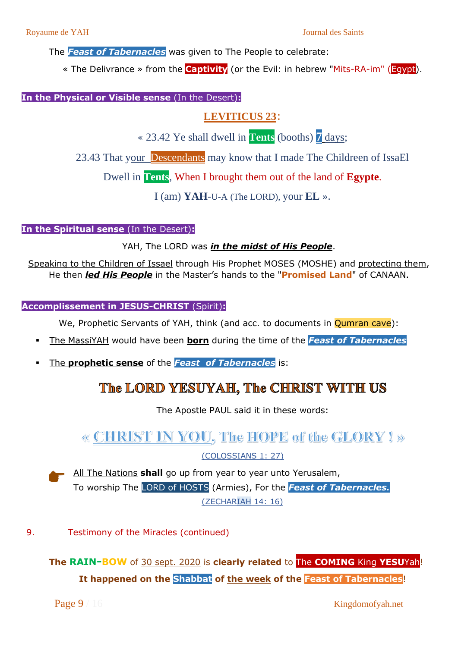The *Feast of Tabernacles* was given to The People to celebrate:

« The Delivrance » from the **Captivity** (or the Evil: in hebrew "Mits-RA-im" (Egypt).

**In the Physical or Visible sense** (In the Desert)**:**

#### **LEVITICUS 23**:

« 23.42 Ye shall dwell in **Tents** (booths) **7** days;

23.43 That your Descendants may know that I made The Childreen of IssaEl

Dwell in **Tents**, When I brought them out of the land of **Egypte**.

I (am) **YAH**-U-A (The LORD), your **EL** ».

**In the Spiritual sense** (In the Desert)**:**

YAH, The LORD was *in the midst of His People*.

Speaking to the Children of Issael through His Prophet MOSES (MOSHE) and protecting them, He then *led His People* in the Master's hands to the "**Promised Land**" of CANAAN.

**Accomplissement in JESUS-CHRIST** (Spirit)**:**

We, Prophetic Servants of YAH, think (and acc. to documents in **Qumran cave**):

- The MassiYAH would have been **born** during the time of the *Feast of Tabernacles*
- The **prophetic sense** of the *Feast of Tabernacles* is:

### The LORD YESUYAH. The CHRIST WITH US

The Apostle PAUL said it in these words:

### **« CHRIST IN YOU, The HOPE of the GLORY ! »**

(COLOSSIANS 1: 27)

All The Nations **shall** go up from year to year unto Yerusalem, To worship The LORD of HOSTS (Armies), For the *Feast of Tabernacles.* (ZECHARIAH 14: 16)

<span id="page-10-0"></span>9. Testimony of the Miracles (continued)

**The RAIN-BOW** of 30 sept. 2020 is **clearly related** to The **COMING** King **YESU**Yah! **It happened on the Shabbat of the week of the Feast of Tabernacles**!

Page 9 / 16 Kingdomofyah.net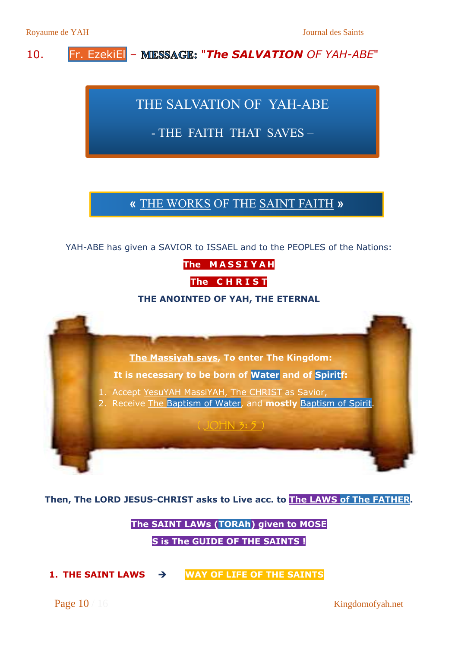#### <span id="page-11-0"></span>10. **Fr. EzekiEL** – MIESSAGE: "The SALVATION OF YAH-ABE"

### THE SALVATION OF YAH-ABE

### - THE FAITH THAT SAVES –

### **« THE WORKS OF THE SAINT FAITH »**

YAH-ABE has given a SAVIOR to ISSAEL and to the PEOPLES of the Nations:

**The M A S S I Y A H**

**The C H R I S T**

#### **THE ANOINTED OF YAH, THE ETERNAL**



Then, The LORD JESUS-CHRIST asks to Live acc. to <mark>The LAWS of The FATHER</mark>.

# $\overline{\textbf{The SAINT}}$  <code>LAWs</code> (<code>TORAh</code>) given to <code>MOSE</code> **S** is The GUIDE OF THE SAINTS <mark>!</mark>

**1. THE SAINT LAWS → WAY OF LIFE OF THE SAINTS** 

Page 10 / 16 Kingdomofyah.net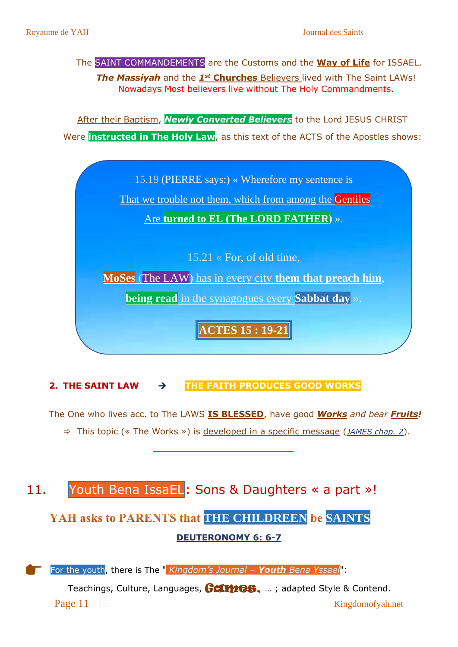#### The SAINT COMMANDEMENTS are the Customs and the **Way of Life** for ISSAEL.

**The Massiyah** and the **1st Churches** Believers lived with The Saint LAWs! Nowadays Most believers live without The Holy Commandments.

After their Baptism, *Newly Converted Believers* to the Lord JESUS CHRIST Were **instructed in The Holy Law**, as this text of the ACTS of the Apostles shows:



#### **2. THE SAINT LAW** ➔ **THE FAITH PRODUCES GOOD WORKS**

The One who lives acc. to The LAWS **IS BLESSED**, have good *Works and bear Fruits!* This topic (« The Works ») is developed in a specific message (*JAMES chap. 2*).

### <span id="page-12-0"></span>11. Youth Bena IssaEL: Sons & Daughters « a part »!

### YAH asks to PARENTS that THE CHILDREEN be SAINTS **DEUTERONOMY 6: 6-7**



For the youth, there is The " *Kingdom's Journal – Youth Bena Yssael*":

Page 11 / 16 Kingdomofyah.net Teachings, Culture, Languages, Germes, ...; adapted Style & Contend.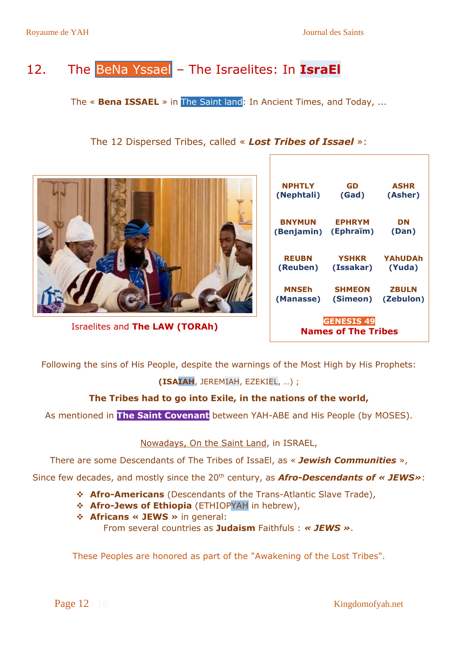# <span id="page-13-0"></span>12. The BeNa Yssael – The Israelites: In **IsraEl**

The « **Bena ISSAEL** » in The Saint land: In Ancient Times, and Today, ...

#### The 12 Dispersed Tribes, called « *Lost Tribes of Issael* »:

|                                | <b>NPHTLY</b>          | GD                                      | <b>ASHR</b>    |
|--------------------------------|------------------------|-----------------------------------------|----------------|
|                                | (Nephtali)             | (Gad)                                   | (Asher)        |
|                                | <b>BNYMUN</b>          | <b>EPHRYM</b>                           | <b>DN</b>      |
|                                | (Benjamin)             | (Ephraïm)                               | (Dan)          |
|                                | <b>REUBN</b>           | <b>YSHKR</b>                            | <b>YAhUDAh</b> |
|                                | (Reuben)               | (Issakar)                               | (Yuda)         |
|                                | <b>MNSEh</b>           | <b>SHMEON</b>                           | <b>ZBULN</b>   |
|                                | (Manasse)              | (Simeon)                                | (Zebulon)      |
| Israelites and The LAW (TORAh) | <b>Billian Andrews</b> | <b>GENESIS 49</b><br>.e tele a televizi |                |

Following the sins of His People, despite the warnings of the Most High by His Prophets: **(ISAIAH**, JEREMIAH, EZEKIEL, …) ;

#### **The Tribes had to go into Exile, in the nations of the world,**

As mentioned in **The Saint Covenant** between YAH-ABE and His People (by MOSES).

Nowadays, On the Saint Land, in ISRAEL,

There are some Descendants of The Tribes of IssaEl, as « *Jewish Communities* »,

Since few decades, and mostly since the 20<sup>th</sup> century, as **Afro-Descendants of « JEWS»**:

- ❖ **Afro-Americans** (Descendants of the Trans-Atlantic Slave Trade),
- ❖ **Afro-Jews of Ethiopia** (ETHIOPYAH in hebrew),
- ❖ **Africans « JEWS »** in general:

From several countries as **Judaism** Faithfuls : *« JEWS »*.

These Peoples are honored as part of the "Awakening of the Lost Tribes".

**Names of The Tribes**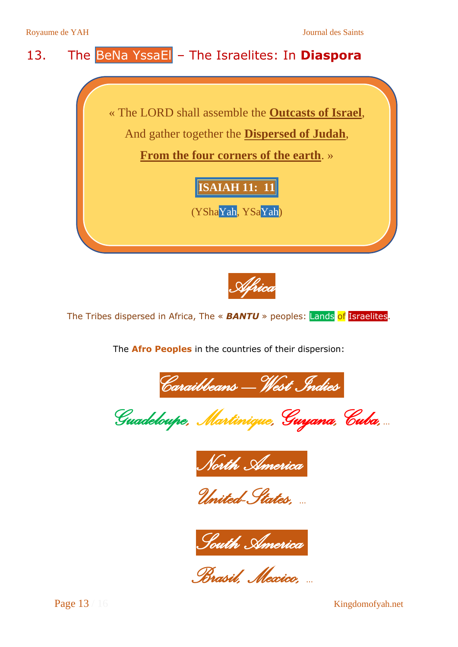### <span id="page-14-0"></span>13. The BeNa YssaEl – The Israelites: In **Diaspora**

« The LORD shall assemble the **Outcasts of Israel**, And gather together the **Dispersed of Judah**,

**From the four corners of the earth**. »

### **ISAIAH 11: 11**

 (YShaYah, YSaYah)



The Tribes dispersed in Africa, The « **BANTU** » peoples: Lands of Israelites.

The **Afro Peoples** in the countries of their dispersion:

*Caraibbeans – West Indies.*

*Guadeloupe, Martinique, Guyana, Cuba,*…



*United-States,* …



*Brasil, Mexico,* …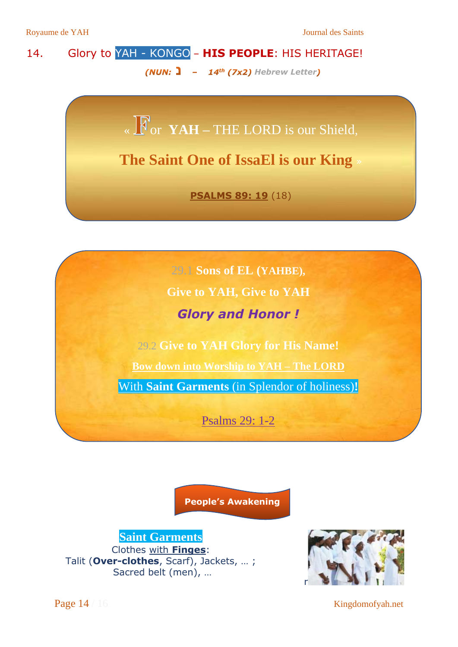### <span id="page-15-0"></span>14. Glory to YAH - KONGO – **HIS PEOPLE**: HIS HERITAGE! *(NUN:*  $\frac{1}{2}$  -  $14^{th}$  *(7x2)* Hebrew Letter)

«  $\sqrt{\sqrt{N}}$  or **YAH** – THE LORD is our Shield,

**The Saint One of IssaEl is our King** »

**PSALMS 89: 19** (18)

29.1 **Sons of EL (YAHBE), Give to YAH, Give to YAH**  *Glory and Honor !*

29.2 **Give to YAH Glory for His Name!** 

**Bow down into Worship to YAH – The LORD**

With **Saint Garments** (in Splendor of holiness)**!**

Psalms 29: 1-2

**People's Awakening**

**Saint Garments** Clothes with **Finges**: Talit (**Over-clothes**, Scarf), Jackets, … ; Sacred belt (men), …



Page 14 / 16 Kingdomofyah.net